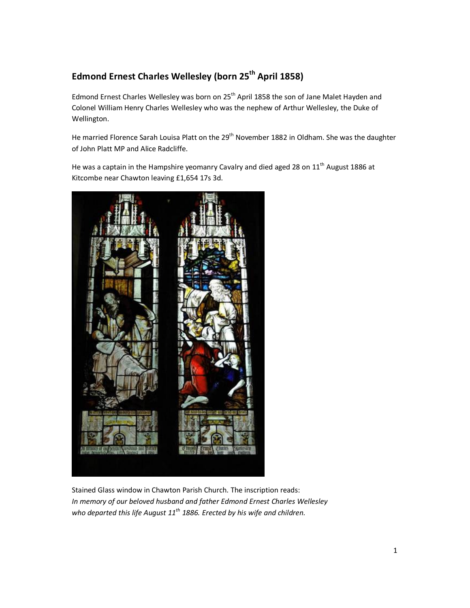# **Edmond Ernest Charles Wellesley (born 25th April 1858)**

Edmond Ernest Charles Wellesley was born on 25<sup>th</sup> April 1858 the son of Jane Malet Hayden and Colonel William Henry Charles Wellesley who was the nephew of Arthur Wellesley, the Duke of Wellington.

He married Florence Sarah Louisa Platt on the 29<sup>th</sup> November 1882 in Oldham. She was the daughter of John Platt MP and Alice Radcliffe.

He was a captain in the Hampshire yeomanry Cavalry and died aged 28 on  $11<sup>th</sup>$  August 1886 at Kitcombe near Chawton leaving £1,654 17s 3d.



Stained Glass window in Chawton Parish Church. The inscription reads: *In memory of our beloved husband and father Edmond Ernest Charles Wellesley who departed this life August 11th 1886. Erected by his wife and children.*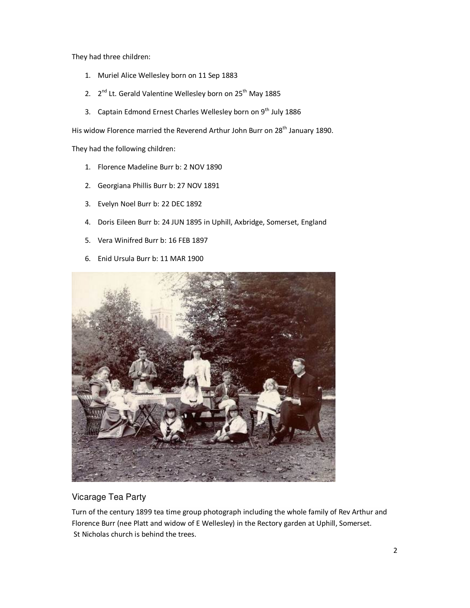They had three children:

- 1. Muriel Alice Wellesley born on 11 Sep 1883
- 2.  $2^{nd}$  Lt. Gerald Valentine Wellesley born on  $25^{th}$  May 1885
- 3. Captain Edmond Ernest Charles Wellesley born on 9<sup>th</sup> July 1886

His widow Florence married the Reverend Arthur John Burr on 28<sup>th</sup> January 1890.

They had the following children:

- 1. Florence Madeline Burr b: 2 NOV 1890
- 2. Georgiana Phillis Burr b: 27 NOV 1891
- 3. Evelyn Noel Burr b: 22 DEC 1892
- 4. Doris Eileen Burr b: 24 JUN 1895 in Uphill, Axbridge, Somerset, England
- 5. Vera Winifred Burr b: 16 FEB 1897
- 6. Enid Ursula Burr b: 11 MAR 1900



### Vicarage Tea Party

Turn of the century 1899 tea time group photograph including the whole family of Rev Arthur and Florence Burr (nee Platt and widow of E Wellesley) in the Rectory garden at Uphill, Somerset. St Nicholas church is behind the trees.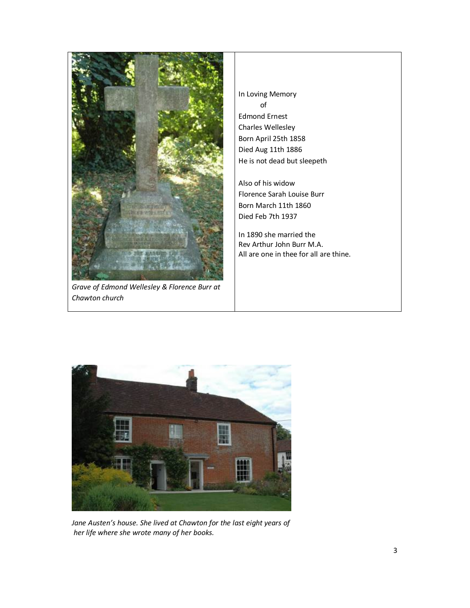

*Grave of Edmond Wellesley & Florence Burr at Chawton church* 

In Loving Memory of Edmond Ernest Charles Wellesley Born April 25th 1858 Died Aug 11th 1886 He is not dead but sleepeth

Also of his widow Florence Sarah Louise Burr Born March 11th 1860 Died Feb 7th 1937

In 1890 she married the Rev Arthur John Burr M.A. All are one in thee for all are thine.



*Jane Austen's house. She lived at Chawton for the last eight years of her life where she wrote many of her books.*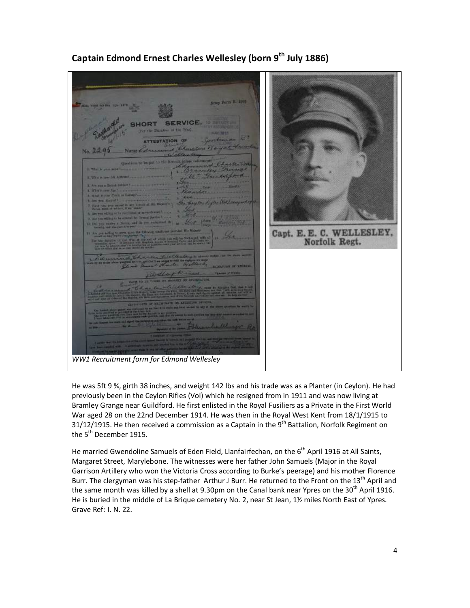

# **Captain Edmond Ernest Charles Wellesley (born 9th July 1886)**

He was 5ft 9 ¾, girth 38 inches, and weight 142 lbs and his trade was as a Planter (in Ceylon). He had previously been in the Ceylon Rifles (Vol) which he resigned from in 1911 and was now living at Bramley Grange near Guildford. He first enlisted in the Royal Fusiliers as a Private in the First World War aged 28 on the 22nd December 1914. He was then in the Royal West Kent from 18/1/1915 to 31/12/1915. He then received a commission as a Captain in the  $9<sup>th</sup>$  Battalion, Norfolk Regiment on the 5<sup>th</sup> December 1915.

He married Gwendoline Samuels of Eden Field, Llanfairfechan, on the 6<sup>th</sup> April 1916 at All Saints, Margaret Street, Marylebone. The witnesses were her father John Samuels (Major in the Royal Garrison Artillery who won the Victoria Cross according to Burke's peerage) and his mother Florence Burr. The clergyman was his step-father Arthur J Burr. He returned to the Front on the 13<sup>th</sup> April and the same month was killed by a shell at 9.30pm on the Canal bank near Ypres on the 30<sup>th</sup> April 1916. He is buried in the middle of La Brique cemetery No. 2, near St Jean, 1½ miles North East of Ypres. Grave Ref: I. N. 22.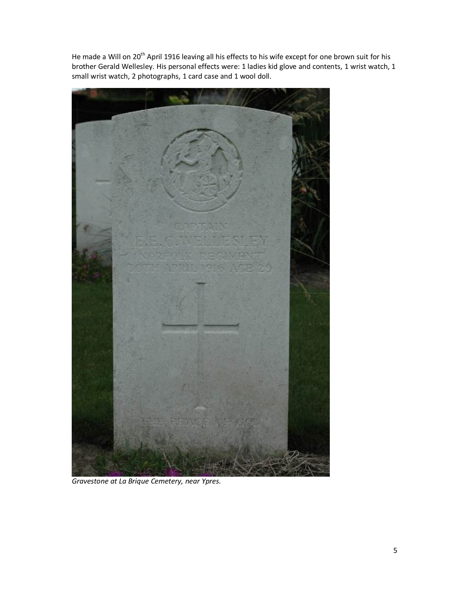He made a Will on 20<sup>th</sup> April 1916 leaving all his effects to his wife except for one brown suit for his brother Gerald Wellesley. His personal effects were: 1 ladies kid glove and contents, 1 wrist watch, 1 small wrist watch, 2 photographs, 1 card case and 1 wool doll.



*Gravestone at La Brique Cemetery, near Ypres.*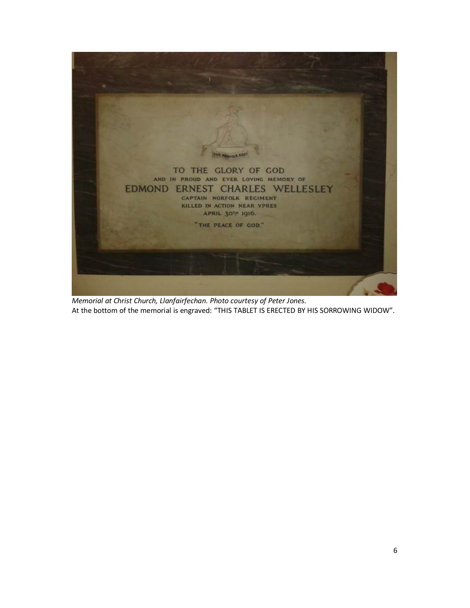

*Memorial at Christ Church, Llanfairfechan. Photo courtesy of Peter Jones.*  At the bottom of the memorial is engraved: "THIS TABLET IS ERECTED BY HIS SORROWING WIDOW".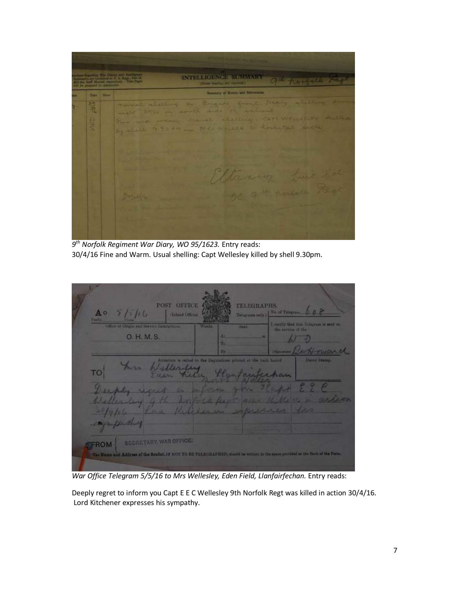

*9 th Norfolk Regiment War Diary, WO 95/1623.* Entry reads: 30/4/16 Fine and Warm. Usual shelling: Capt Wellesley killed by shell 9.30pm.

| $A^{\circ}$<br>5/7/16<br>Pontia                                                                                                                                               | POST OFFICE<br>Inland Official                                                  | <b>TELEGRAPHS</b><br>Telegrams suly.) | No. of Telegram 0 0 P                  |
|-------------------------------------------------------------------------------------------------------------------------------------------------------------------------------|---------------------------------------------------------------------------------|---------------------------------------|----------------------------------------|
| Office of Origin and Service Instructions.                                                                                                                                    | <b>Weeds</b>                                                                    | Deal.<br>the survive of the           | I metity that this Talagram is sont on |
| O. H. M. S.                                                                                                                                                                   | AT.<br><b>Dr</b>                                                                | <b>ABI</b><br><b>Seventhere</b>       |                                        |
| here<br>TO                                                                                                                                                                    | Attention is salied to the Regulations printed at the back horsed.<br>Wellerley | Hartan<br><b>Dutons</b>               | Daind Stamp                            |
|                                                                                                                                                                               | the day for the                                                                 | the charge                            |                                        |
| <b>SECRETARY, WAR OFFICE!</b><br><b>FROM</b><br>The Name and Address of the Sender, 12 NOT TO BE TELEGRATHED, should be sedime in the space precided at the Deck of the Form. |                                                                                 |                                       |                                        |

War Office Telegram 5/5/16 to Mrs Wellesley, Eden Field, Llanfairfechan. Entry reads:

Deeply regret to inform you Capt E E C Wellesley 9th Norfolk Regt was killed in action 30/4/16. Lord Kitchener expresses his sympathy.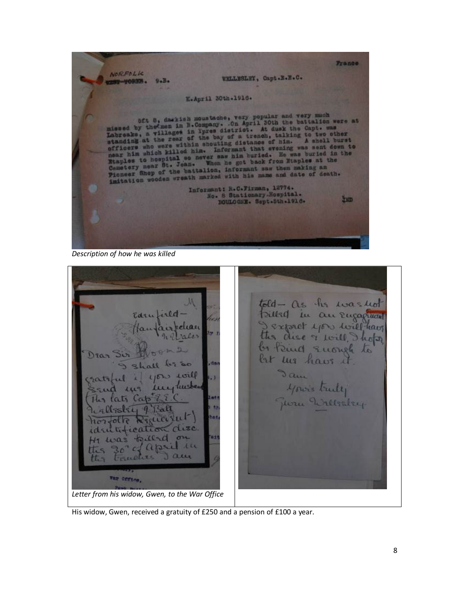France. NOR.FOLK WELLESLEY, Capt.E.H.C. ST-YORES.  $9 - B$ E.April 30th.1916. oft 8, darkish moustache, very popular and very much<br>missed by the men in B.Company. On April 30th the battalion were at<br>Labreake, a village in Ypres district. At dusk the Capt. was<br>utanding at the rear of the bay of a tre Informant: R.C.Firman, 12774.<br>Mo. 8 Stationary-Hospital.<br>DOULOGHE. Sept.5th.1916. **Exp.** 

*Description of how he was killed*

M told - as the was not Pilled in an Engagement Edrufield Expect you will have elear ales the dise of foile how by Rind Enoug  $D$ 200 bet we have , dr dame will  $1150$ your's truly twester  $11111$ Juru Willister  $Ca$  $\alpha$  $10 - 6$  $\sim$   $\sigma$ april  $A$ ttis 20 the CISELP War orring,

*Letter from his widow, Gwen, to the War Office* 

His widow, Gwen, received a gratuity of £250 and a pension of £100 a year.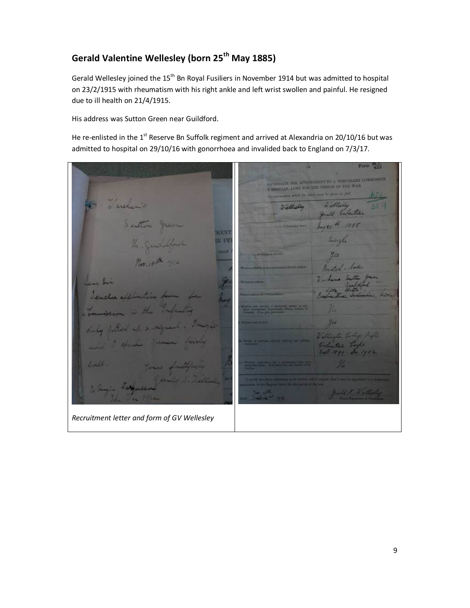# **Gerald Valentine Wellesley (born 25th May 1885)**

Gerald Wellesley joined the 15<sup>th</sup> Bn Royal Fusiliers in November 1914 but was admitted to hospital on 23/2/1915 with rheumatism with his right ankle and left wrist swollen and painful. He resigned due to ill health on 21/4/1915.

His address was Sutton Green near Guildford.

He re-enlisted in the 1<sup>st</sup> Reserve Bn Suffolk regiment and arrived at Alexandria on 20/10/16 but was admitted to hospital on 29/10/16 with gonorrhoea and invalided back to England on 7/3/17.

 $For  $\frac{1}{100}$$ ANDICATE FOR APPOINTMENT TO A THRESPARITY COMMISSION VALUE AND VALUE PERSONS OF THE WALL **START** archem 7 Gillsdag **MENT** IE PE usa  $R_{\rm{eff}}$ y<sub>es</sub> Wenter I. Wallache *Recruitment letter and form of GV Wellesley*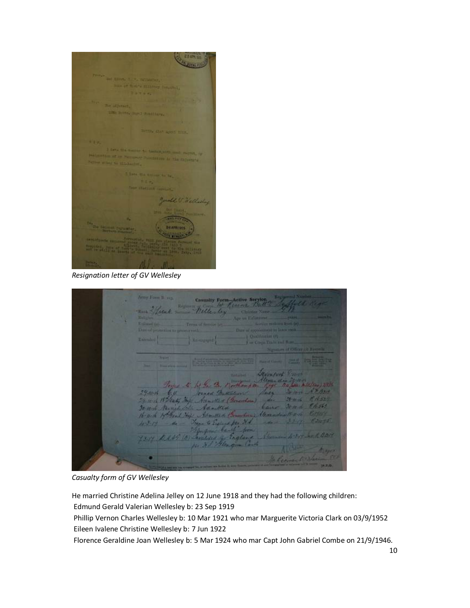Th. Joseph V. Wellash **Contract** 

*Resignation letter of GV Wellesley*

**Casualty For** mar 2 fical Willesley Wullmart (p) Extended [ **Bayer New York Committee Read of the American Property**  $2000$ fot for the grove Black Service A. March  $29 - 16$  $1/22$  $29 - 16 - 18 + 52$ Adnoth + (20 30 10 de R 16563 *Cane* 30-10-16 Nanich Labe Adamsted Howell Hothand Hope Admitted Hennder mont to England &  $4-3-15$  - the from ban Dess 10 maries of England 4-200 Le R 2014 大阪地区 Kape Clean A

*Casualty form of GV Wellesley*

He married Christine Adelina Jelley on 12 June 1918 and they had the following children:

Edmund Gerald Valerian Wellesley b: 23 Sep 1919

 Phillip Vernon Charles Wellesley b: 10 Mar 1921 who mar Marguerite Victoria Clark on 03/9/1952 Eileen Ivalene Christine Wellesley b: 7 Jun 1922

Florence Geraldine Joan Wellesley b: 5 Mar 1924 who mar Capt John Gabriel Combe on 21/9/1946.